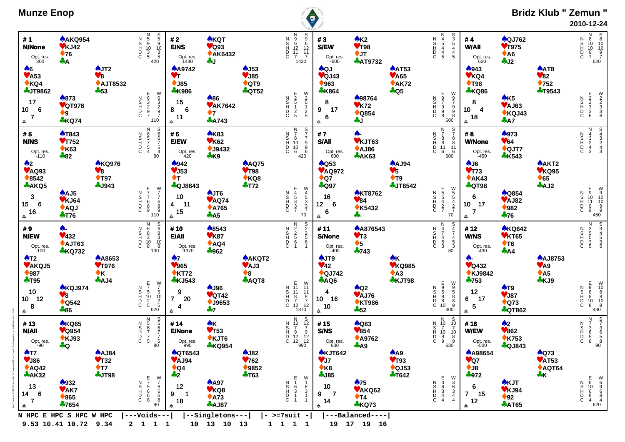| <b>Munze Enop</b>                                                                                           |                                                               |                                                                        |                                                                                                        |                                                                                                             |                                                                          |                                                    |                                                                                                                                         | O                                                                                                         |                                                                     |                                                                        |                                                                                                         |                                                                                                  |                                                                          |                                                                         | <b>Bridz Klub " Zemun "</b><br>2010-12-24                                                               |
|-------------------------------------------------------------------------------------------------------------|---------------------------------------------------------------|------------------------------------------------------------------------|--------------------------------------------------------------------------------------------------------|-------------------------------------------------------------------------------------------------------------|--------------------------------------------------------------------------|----------------------------------------------------|-----------------------------------------------------------------------------------------------------------------------------------------|-----------------------------------------------------------------------------------------------------------|---------------------------------------------------------------------|------------------------------------------------------------------------|---------------------------------------------------------------------------------------------------------|--------------------------------------------------------------------------------------------------|--------------------------------------------------------------------------|-------------------------------------------------------------------------|---------------------------------------------------------------------------------------------------------|
| #1<br><b>N/None</b><br>Opt. res.<br>300<br>A6                                                               | <b>AAKQ954</b><br>$V$ KJ42<br>$\blacklozenge$ 76<br>÷A        | $\clubsuit$ JT2                                                        | N<br>5<br>5<br>9<br>10<br>3<br>5<br>5<br>4<br>20<br>ODINZ                                              | #2<br><b>E/NS</b><br>Opt. res.<br>1430<br><b>A</b> 9742                                                     | <b>AKQT</b><br>$\sqrt{\phantom{a}}$ Q93<br><b>◆ AK6432</b><br><b>A</b> J | $\clubsuit$ J53                                    | N 9 9<br>S 6 6 6<br>H 12 12<br>D 11 11<br>C 7 7<br>1430                                                                                 | #3<br><b>S/EW</b><br>Opt. res.<br>-600<br><b>AQJ</b>                                                      | AK2<br><b>♥T98</b><br>$+JT$<br><b>AT9732</b>                        | <b>AAT53</b>                                                           | N<br>4<br>5<br>4<br>5<br>S<br>3<br>5<br>4<br>5<br>ODINZ                                                 | #4<br>W/All<br>Opt. res.<br>620<br>$*943$                                                        | <b>AQJ762</b><br><b>♥T975</b><br>$\triangle$ A6<br>$+J2$                 | <b>AAT8</b>                                                             | N 8 8<br>S 10 10<br>H 10 10<br>D 9 9<br>C 7 620                                                         |
| $\blacktriangledown$ A53<br>$*$ KQ4<br><b>4JT9862</b><br>17<br>$6\phantom{1}6$<br>10 <sub>1</sub><br>7<br>₳ | ♠873<br>♥QT976<br>$\blacklozenge$ 9<br><b>*KQ74</b>           | $\blacktriangledown 8$<br>◆ AJT8532<br>$-53$                           | W63297<br>Ε<br>00<br>00<br>00<br>7<br>ODINZ<br>110                                                     | <b>VT</b><br>$•$ J85<br><b>*K986</b><br>15<br>$\overline{6}$<br>8<br>11<br>₳                                | ♠86<br><b>VAK7642</b><br>$\bullet$ 7<br><b>A743</b>                      | $V$ J85<br>$\triangle$ QT9<br><b>AQT52</b>         | E<br>25125<br>$\frac{9}{2}$ 5<br>ODINZ<br>$\begin{array}{c} 1 \\ 2 \\ 5 \end{array}$                                                    | $\blacktriangledown$ QJ43<br>$\blacklozenge$ 963<br><b>*K864</b><br>8<br>17<br>9<br>6<br>₳                | ♠98764<br>$V$ K72<br>$\triangle$ Q854<br><b>do</b> J                | $\blacktriangledown$ A65<br>$*AK72$<br>$+$ Q5                          | m97988<br>$\frac{9}{7}$<br>ODINZ<br>.<br>9<br>8<br>600                                                  | VKQ4<br>$\blacklozenge$ T98<br><b>*KQ86</b><br>8<br>10 <sub>1</sub><br>$\overline{4}$<br>18<br>₳ | AK5<br>VAJ63<br>◆KQJ43<br>$+ A7$                                         | V82<br>$\blacklozenge$ 752<br><b>+T9543</b>                             | E<br>D<br>2<br>3<br>3<br>6<br><b>M</b><br>2<br>3<br>3<br>6<br>6<br>ODINZ                                |
| #5<br><b>N/NS</b><br>Opt. res.<br>-110                                                                      | <b>AT843</b><br>$V$ T752<br>$\triangle$ K63<br>$-82$          |                                                                        | N<br>$80$<br>$80$<br>$80$<br>ODHOZ<br>6<br>5<br>7<br>5<br>4                                            | #6<br>E/EW<br>Opt. res.<br>420                                                                              | <b>AK83</b><br>$V$ K62<br>$•$ J9432<br>$+K9$                             |                                                    | N 7 8<br>10<br>10<br>6<br>$\begin{array}{c} 5 \\ 7 \\ 7 \\ 9 \\ 9 \\ 6 \\ 420 \end{array}$<br>ODINZ                                     | #7<br><b>S/All</b><br>Opt. res.<br>600                                                                    | $\clubsuit$<br><b>♥KJT63</b><br>AJ86<br><b>AK63</b>                 |                                                                        | N 7 8<br>8<br>11<br>6<br>$\begin{array}{c} 57 \\ 78 \\ 8 \\ 60 \\ 600 \end{array}$<br>ODINZ             | #8<br><b>W/None</b><br>Opt. res.<br>-450                                                         | ♠973<br>$\Psi$ 64<br>$\triangle$ QJT7<br><b>*K543</b>                    |                                                                         | N<br>4<br>3<br>4<br>3<br>S<br>4<br>3<br>4<br>3<br>ODISDZ                                                |
| $\clubsuit$<br>$V$ AQ93<br>$*8542$<br><b>AKQ5</b><br>3<br>$6\overline{6}$<br>15 <sub>1</sub><br>$16\,$<br>₳ | $A$ AJ5<br>$V$ KJ64<br>AQJ<br>$+T76$                          | <b>AKQ976</b><br>$\mathbf{v}_8$<br>$\blacklozenge$ T97<br><b>AJ943</b> | E77689<br>$\begin{array}{c} W \\ 7 \\ 7 \\ 6 \\ 8 \\ 9 \\ 110 \end{array}$<br>ODINZ                    | $*942$<br>$V$ J53<br>$\blacklozenge$ T<br><b>AQJ8643</b><br>10<br>$-11$<br>4<br>15<br>₳                     | AJT6<br><b>VAQ74</b><br><b>↑A765</b><br>$+A5$                            | <b>AAQ75</b><br>$\Psi$ T98<br>$*$ KQ8<br>$+T72$    | E<br>4<br>5<br>3<br>3<br>7<br>W<br>4<br>5<br>3<br>3<br>7<br>70<br>ODINZ                                                                 | $\bigwedge$ Q53<br><b>VAQ972</b><br>$\triangle$ Q7<br><b>AQ97</b><br>16<br>12 <sub>2</sub><br>6<br>6<br>佥 | <b>AKT8762</b><br>$\Psi$ 84<br>◆ K5432<br>수.                        | <b>AAJ94</b><br>V <sub>5</sub><br>$\blacklozenge$ T9<br><b>+JT8542</b> | E<br>5<br>5<br>4<br>2<br>7<br>W<br>5<br>5<br>4<br>2<br>7<br>70<br>ODINZ                                 | $A$ J6<br>$V$ T73<br>$*AK43$<br><b>AQT98</b><br>6<br>$10 \quad 17$<br>$\overline{7}$<br>₳        | <b>AQ854</b><br><b>♥AJ82</b><br>$\blacklozenge$ 982<br>$+76$             | AAKT2<br>$V$ KQ95<br>$\triangle$ 65<br>AJ2                              | E9101199<br>$\begin{array}{c}\nW \\ 9 \\ 10 \\ 10 \\ 9 \\ 9 \\ 450\n\end{array}$<br><b>COTOS</b>        |
| #9<br><b>N/EW</b><br>Opt. res.<br>-100                                                                      | $\clubsuit$<br>432<br>AJT63<br><b>*KQ732</b>                  |                                                                        | N<br>6<br>6<br>8<br>3<br>10<br>8<br>130<br>130<br><b>CDINN</b>                                         | #10<br>E/All<br>Opt. res.<br>-1370                                                                          | ♣8543<br>$V$ K87<br>AQ4<br>$*962$                                        |                                                    | N<br>2<br>2<br>5<br>6<br>1<br>S<br>2<br>2<br>5<br>6<br>1<br>ODINZ                                                                       | #11<br><b>S/None</b><br>Opt. res.<br>-400                                                                 | <b>A</b> A876543<br>$V$ T3<br>$\blacklozenge$ 5<br>$-743$           |                                                                        | N<br>4<br>7<br>4<br>5<br>3<br>$\begin{array}{c}\n 8 \\  \hline\n 80\n \end{array}$<br>ODINZ             | #12<br><b>W/NS</b><br>Opt. res.<br>-430                                                          | <b>AKQ642</b><br>$V$ KT65<br>$\blacklozenge$ T6<br>A                     |                                                                         | M33535<br>ODINZ                                                                                         |
| $\triangle$ T2<br>VAKQJ5<br>$\blacklozenge$ 987<br>$+T95$<br>$10$<br>$10 \quad 12$<br>8<br>₳                | <b>AKQJ974</b><br>$\mathbf{v}$ 8<br>$\triangle$ Q542<br>$*86$ | <b>AA8653</b><br><b>♥T976</b><br>$\bullet$ K<br>A J4                   | E<br>7<br>5<br>10<br>2<br>5<br>$W$<br>$7$<br>$5$<br>$10$<br>$2$<br>$5$<br>$620$<br>ODINZ               | $\clubsuit$ 7<br>$\Psi$ 965<br>$\triangle$ KT72<br><b>&amp;KJ543</b><br>9<br>$\overline{7}$<br>20<br>4<br>会 | <b>AJ96</b><br>$\sqrt{\text{QT42}}$<br>$•$ J9653<br>$+7$                 | AAKQT2<br>♥AJ3<br>$\blacklozenge 8$<br><b>AQT8</b> | E<br>N 11<br>S 11<br>F<br>7<br>12<br>1370<br>W<br>11<br>11<br>8<br>7<br>12                                                              | AJT9<br>$\Psi$ 42<br>$\bigcirc$ QJ742<br>$+AQ6$<br>4<br>16<br>10 <sub>1</sub><br>10<br>₳                  | $A$ Q2<br><b>♥AJ76</b><br><b>◆ KT986</b><br>$+52$                   | ŵК<br><b>VKQ985</b><br>A3<br><b>*KJT98</b>                             | E<br>0<br>0<br>10<br>ossoac<br>ODINZ<br>400                                                             | А-<br>$\blacktriangledown$ Q432<br>◆KJ9842<br>$-753$<br>12<br>17<br>6<br>${\bf 5}$<br>₳          | AT9<br>♥ J87<br>$\triangle$ Q73<br><b>AQT862</b>                         | <b>A</b> AJ8753<br>$\blacktriangledown$ A9<br>$\triangle$ A5<br>$+$ KJ9 | <b>H</b><br>08<br>08<br>08<br>$\begin{array}{c} 0 \ 10 \ 8 \ 8 \ 8 \ 10 \ 8 \ 430 \end{array}$<br>ODINZ |
| #13<br><b>N/AII</b><br>Opt. res.<br>-90                                                                     | <b>AKQ65</b><br>$\vee$ Q954<br><b>◆ KJ93</b><br><b>AQ</b>     |                                                                        | N<br>S<br>5<br>6<br>7<br>7<br>5<br>DH02<br>$\frac{5}{6}$<br>$\frac{6}{7}$<br>$\frac{7}{5}$<br>Č.<br>80 | #14<br><b>E/None</b><br>Opt. res.<br>$990$                                                                  | <b>AK</b><br>$\Psi$ T53<br>♦ KJT6<br><b>*KQ954</b>                       |                                                    | $\begin{array}{c}\nN \\ N_{12} \\ S_{13} \\ T_{9} \\ D_{12} \\ C_{12}\n\end{array}$<br>$S$<br>$12$<br>$T$<br>$9$<br>$12$<br>$12$<br>990 | #15<br><b>S/NS</b><br>Opt. res.<br>$630$                                                                  | <b>AQ83</b><br>$\blacktriangledown 854$<br><b>↑ A9762</b><br>$+ A9$ |                                                                        | $\begin{array}{c}\nN \\ 10 \\ 7 \\ 8 \\ 9\n\end{array}$<br>S<br>10<br>7<br>10<br>8<br>9<br>ODINZ<br>630 | #16<br><b>W/EW</b><br>Opt. res.<br>-500                                                          | $\clubsuit$<br>$\blacktriangledown 862$<br><b>◆K753</b><br><b>AQJ843</b> |                                                                         | <b>S</b><br>8<br>8<br>8<br>8<br>N<br>7<br>3<br>6<br>5<br>8<br>ODHOZ<br>90 <sup>°</sup>                  |
| $\triangle$ T7<br><b>VJ86</b><br>AQQ42<br>$A$ K32<br>13<br>6<br>14<br>7<br>₳                                | $*932$<br><b>VAK7</b><br>$\blacklozenge 865$<br>♣7654         | <b>AAJ84</b><br>$V$ T32<br>$\blacklozenge$ T7<br><b>AJT98</b>          | E<br>7<br>5<br>6<br>6<br>9<br><b>V76668</b><br>ODINZ<br>8<br>90 <sup>7</sup>                           | <b>AQT6543</b><br>$V$ AJ94<br>$\triangle$ Q4<br>$+2$<br>12<br>9<br>-1<br>18<br>本                            | $A$ 497<br>VKQ8<br>$\triangle$ A73<br><b>AJ87</b><br>--Singletons---     | $A$ J82<br>$V$ 762<br>$*9852$<br>$+T63$            | $E_{16}$<br>$3$<br>$1$<br>$\begin{array}{c}\nW \\ 1 \\ 6 \\ 3\n\end{array}$<br>ODINZ<br>$\overline{1}$                                  | <b>AKJT642</b><br>VJ7<br>$\triangle$ K <sub>8</sub><br>$-185$<br>10<br>$\overline{7}$<br>9<br>14<br>₳     | $\clubsuit$ 75<br>VAKQ62<br>$\blacklozenge$ T4<br><b>*KQ73</b>      | AA9<br>$V$ T93<br>$\triangle$ QJ53<br>$+T642$                          | E<br>3<br>6<br>3<br>4<br>4<br>W<br>36<br>4<br>4<br>ODINZ                                                | <b>AA98654</b><br>$\sqrt{27}$<br>$\bigstar$ J8<br>$-972$<br>6<br>$\overline{7}$<br>15<br>12<br>  | <b>AKJT</b><br>$V$ KJ94<br>$\blacklozenge$ 92<br><b>AT65</b>             | $\bigwedge$ Q73<br>$\blacktriangledown$ AT53<br>$\triangle$ AQT64<br>÷К | E 610<br>68<br>4<br>V<br>69<br>68<br>620<br>620<br>ODINZ                                                |

 **9.53 10.41 10.72 9.34 2 1 1 1 10 13 10 13 1 1 1 1 19 17 19 16** 

## **Munze E**